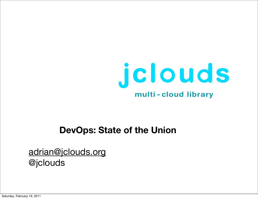

#### **DevOps: State of the Union**

#### [adrian@jclouds.org](mailto:adrian@jclouds.org) @jclouds

Saturday, February 19, 2011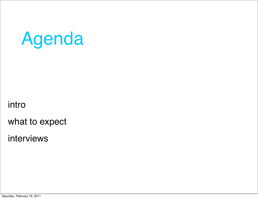# Agenda

intro

what to expect

interviews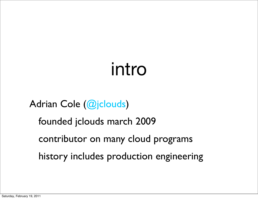## intro

### Adrian Cole (@jclouds)

- founded jclouds march 2009
- contributor on many cloud programs
- history includes production engineering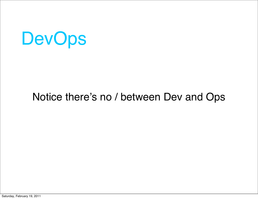

### Notice there's no / between Dev and Ops

Saturday, February 19, 2011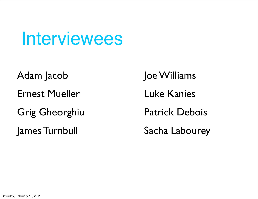Interviewees

- Adam Jacob
- Ernest Mueller
- Grig Gheorghiu
- James Turnbull

Joe Williams Luke Kanies Patrick Debois Sacha Labourey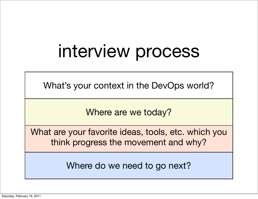## interview process

What's your context in the DevOps world?

Where are we today?

What are your favorite ideas, tools, etc. which you think progress the movement and why?

Where do we need to go next?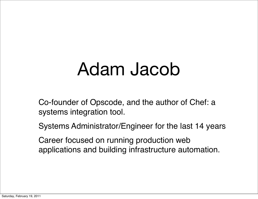## Adam Jacob

Co-founder of Opscode, and the author of Chef: a systems integration tool.

Systems Administrator/Engineer for the last 14 years

Career focused on running production web applications and building infrastructure automation.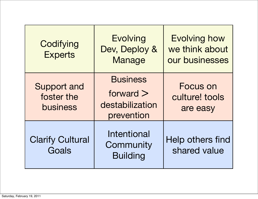| Codifying<br><b>Experts</b>                  | <b>Evolving</b><br>Dev, Deploy &<br><b>Manage</b>               | <b>Evolving how</b><br>we think about<br>our businesses |
|----------------------------------------------|-----------------------------------------------------------------|---------------------------------------------------------|
| <b>Support and</b><br>foster the<br>business | <b>Business</b><br>forward $>$<br>destabilization<br>prevention | <b>Focus on</b><br>culture! tools<br>are easy           |
| <b>Clarify Cultural</b><br>Goals             | <b>Intentional</b><br>Community<br><b>Building</b>              | Help others find<br>shared value                        |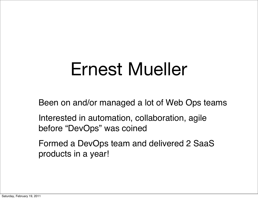## Ernest Mueller

Been on and/or managed a lot of Web Ops teams

Interested in automation, collaboration, agile before "DevOps" was coined

Formed a DevOps team and delivered 2 SaaS products in a year!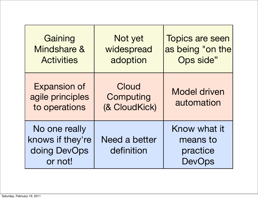| Gaining<br>Mindshare &<br><b>Activities</b>                  | Not yet<br>widespread<br>adoption   | <b>Topics are seen</b><br>as being "on the<br>Ops side" |
|--------------------------------------------------------------|-------------------------------------|---------------------------------------------------------|
| <b>Expansion of</b><br>agile principles<br>to operations     | Cloud<br>Computing<br>(& CloudKick) | <b>Model driven</b><br>automation                       |
| No one really<br>knows if they're<br>doing DevOps<br>or not! | Need a better<br>definition         | Know what it<br>means to<br>practice<br>DevOps          |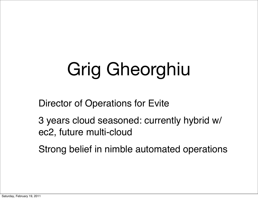# Grig Gheorghiu

Director of Operations for Evite

3 years cloud seasoned: currently hybrid w/ ec2, future multi-cloud

Strong belief in nimble automated operations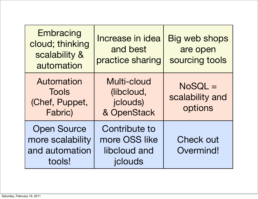| Embracing<br>cloud; thinking<br>scalability &<br>automation        | Increase in idea<br>and best<br>practice sharing                 | <b>Big web shops</b><br>are open<br>sourcing tools |
|--------------------------------------------------------------------|------------------------------------------------------------------|----------------------------------------------------|
| Automation<br><b>Tools</b><br>(Chef, Puppet,<br>Fabric)            | Multi-cloud<br>(libcloud,<br>jclouds)<br>& OpenStack             | NoSQL =<br>scalability and<br>options              |
| <b>Open Source</b><br>more scalability<br>and automation<br>tools! | <b>Contribute to</b><br>more OSS like<br>libcloud and<br>jclouds | <b>Check out</b><br>Overmind!                      |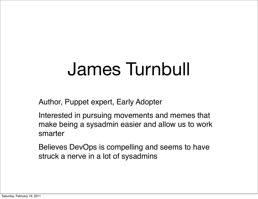## James Turnbull

Author, Puppet expert, Early Adopter

Interested in pursuing movements and memes that make being a sysadmin easier and allow us to work smarter

Believes DevOps is compelling and seems to have struck a nerve in a lot of sysadmins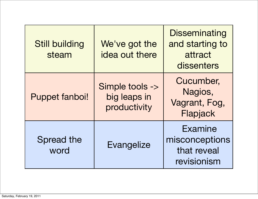| <b>Still building</b><br>steam | We've got the<br>idea out there                 | <b>Disseminating</b><br>and starting to<br>attract<br>dissenters |
|--------------------------------|-------------------------------------------------|------------------------------------------------------------------|
| <b>Puppet fanboi!</b>          | Simple tools -><br>big leaps in<br>productivity | Cucumber,<br>Nagios,<br>Vagrant, Fog,<br>Flapjack                |
| <b>Spread the</b><br>word      | Evangelize                                      | <b>Examine</b><br>misconceptions<br>that reveal<br>revisionism   |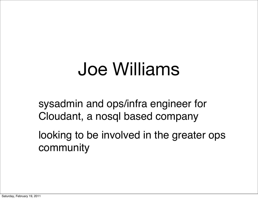## Joe Williams

sysadmin and ops/infra engineer for Cloudant, a nosql based company

looking to be involved in the greater ops community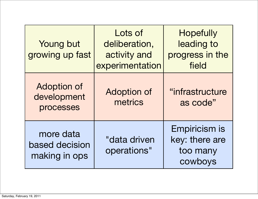| <b>Young but</b><br>growing up fast            | Lots of<br>deliberation,<br>activity and<br>experimentation | <b>Hopefully</b><br>leading to<br>progress in the<br>field |
|------------------------------------------------|-------------------------------------------------------------|------------------------------------------------------------|
| <b>Adoption of</b><br>development<br>processes | <b>Adoption of</b><br>metrics                               | "infrastructure<br>as code"                                |
| more data<br>based decision<br>making in ops   | "data driven<br>operations"                                 | Empiricism is<br>key: there are<br>too many<br>cowboys     |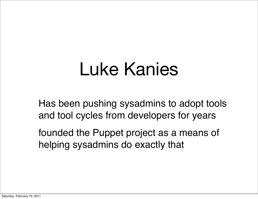## Luke Kanies

Has been pushing sysadmins to adopt tools and tool cycles from developers for years

founded the Puppet project as a means of helping sysadmins do exactly that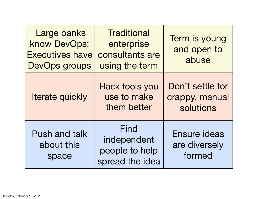| Large banks<br>know DevOps;<br><b>Executives have</b><br>DevOps groups | Traditional<br>enterprise<br>consultants are<br>using the term | Term is young<br>and open to<br>abuse           |
|------------------------------------------------------------------------|----------------------------------------------------------------|-------------------------------------------------|
| Iterate quickly                                                        | <b>Hack tools you</b><br>use to make<br>them better            | Don't settle for<br>crappy, manual<br>solutions |
| <b>Push and talk</b><br>about this<br>space                            | Find<br>independent<br>people to help<br>spread the idea       | <b>Ensure ideas</b><br>are diversely<br>formed  |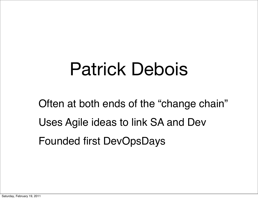## Patrick Debois

Often at both ends of the "change chain" Uses Agile ideas to link SA and Dev Founded first DevOpsDays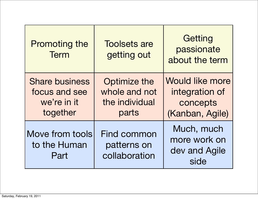| <b>Promoting the</b><br><b>Term</b>                               | <b>Toolsets are</b><br>getting out                       | Getting<br>passionate<br>about the term                                 |
|-------------------------------------------------------------------|----------------------------------------------------------|-------------------------------------------------------------------------|
| <b>Share business</b><br>focus and see<br>we're in it<br>together | Optimize the<br>whole and not<br>the individual<br>parts | <b>Would like more</b><br>integration of<br>concepts<br>(Kanban, Agile) |
| Move from tools<br>to the Human<br>Part                           | <b>Find common</b><br>patterns on<br>collaboration       | Much, much<br>more work on<br>dev and Agile<br>side                     |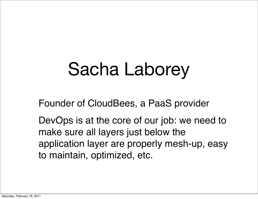## Sacha Laborey

Founder of CloudBees, a PaaS provider

DevOps is at the core of our job: we need to make sure all layers just below the application layer are properly mesh-up, easy to maintain, optimized, etc.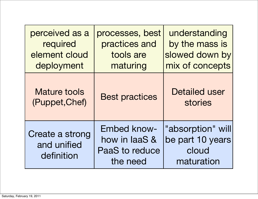| perceived as a<br>required<br>element cloud<br>deployment | processes, best<br>practices and<br>tools are<br>maturing         | understanding<br>by the mass is<br>slowed down by<br>mix of concepts |
|-----------------------------------------------------------|-------------------------------------------------------------------|----------------------------------------------------------------------|
| <b>Mature tools</b><br>(Puppet, Chef)                     | <b>Best practices</b>                                             | <b>Detailed user</b><br><b>stories</b>                               |
| Create a strong<br>and unified<br>definition              | <b>Embed know-</b><br>how in laaS &<br>PaaS to reduce<br>the need | "absorption" will<br>be part 10 years<br>cloud<br>maturation         |